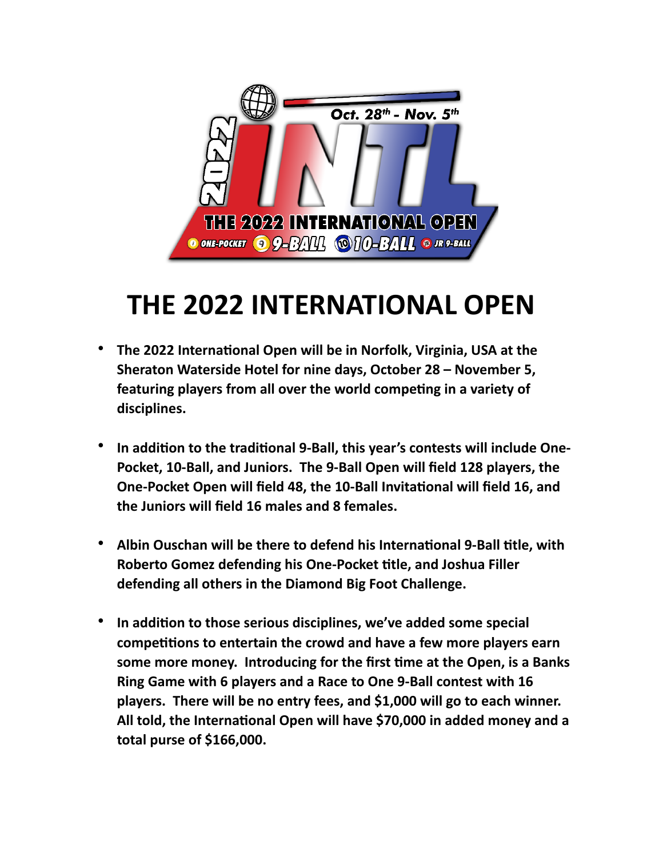

# **THE 2022 INTERNATIONAL OPEN**

- **The 2022 International Open will be in Norfolk, Virginia, USA at the Sheraton Waterside Hotel for nine days, October 28 – November 5, featuring players from all over the world competing in a variety of disciplines.**
- **In addition to the traditional 9-Ball, this year's contests will include One-Pocket, 10-Ball, and Juniors. The 9-Ball Open will field 128 players, the One-Pocket Open will field 48, the 10-Ball Invitational will field 16, and the Juniors will field 16 males and 8 females.**
- **Albin Ouschan will be there to defend his International 9-Ball title, with Roberto Gomez defending his One-Pocket title, and Joshua Filler defending all others in the Diamond Big Foot Challenge.**
- **In addition to those serious disciplines, we've added some special competitions to entertain the crowd and have a few more players earn some more money. Introducing for the first time at the Open, is a Banks Ring Game with 6 players and a Race to One 9-Ball contest with 16 players. There will be no entry fees, and \$1,000 will go to each winner. All told, the International Open will have \$70,000 in added money and a total purse of \$166,000.**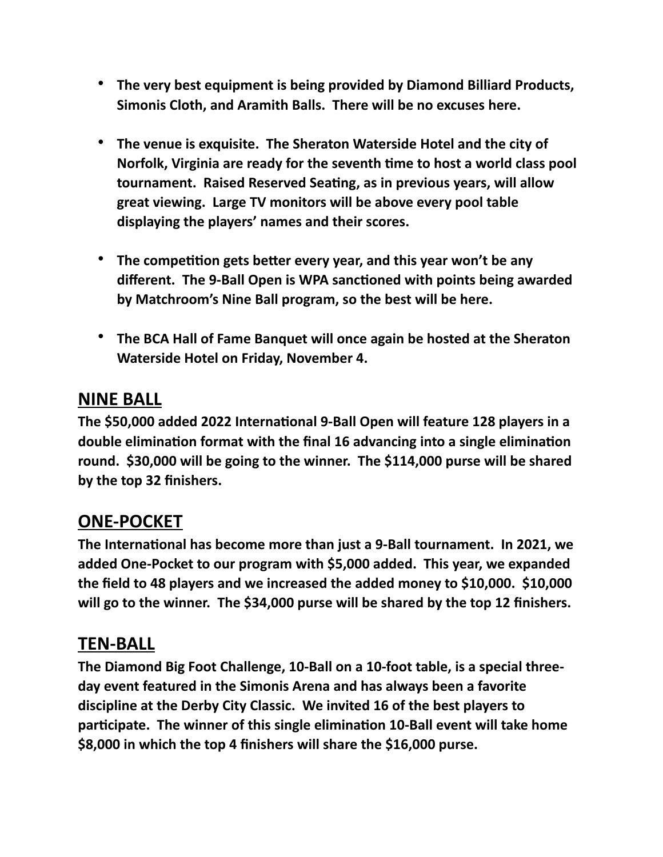- **The very best equipment is being provided by Diamond Billiard Products, Simonis Cloth, and Aramith Balls. There will be no excuses here.**
- **The venue is exquisite. The Sheraton Waterside Hotel and the city of Norfolk, Virginia are ready for the seventh time to host a world class pool tournament. Raised Reserved Seating, as in previous years, will allow great viewing. Large TV monitors will be above every pool table displaying the players' names and their scores.**
- **The competition gets better every year, and this year won't be any different. The 9-Ball Open is WPA sanctioned with points being awarded by Matchroom's Nine Ball program, so the best will be here.**
- **The BCA Hall of Fame Banquet will once again be hosted at the Sheraton Waterside Hotel on Friday, November 4.**

## **NINE BALL**

**The \$50,000 added 2022 International 9-Ball Open will feature 128 players in a double elimination format with the final 16 advancing into a single elimination round. \$30,000 will be going to the winner. The \$114,000 purse will be shared by the top 32 finishers.**

## **ONE-POCKET**

**The International has become more than just a 9-Ball tournament. In 2021, we added One-Pocket to our program with \$5,000 added. This year, we expanded the field to 48 players and we increased the added money to \$10,000. \$10,000 will go to the winner. The \$34,000 purse will be shared by the top 12 finishers.**

#### **TEN-BALL**

**The Diamond Big Foot Challenge, 10-Ball on a 10-foot table, is a special threeday event featured in the Simonis Arena and has always been a favorite discipline at the Derby City Classic. We invited 16 of the best players to participate. The winner of this single elimination 10-Ball event will take home \$8,000 in which the top 4 finishers will share the \$16,000 purse.**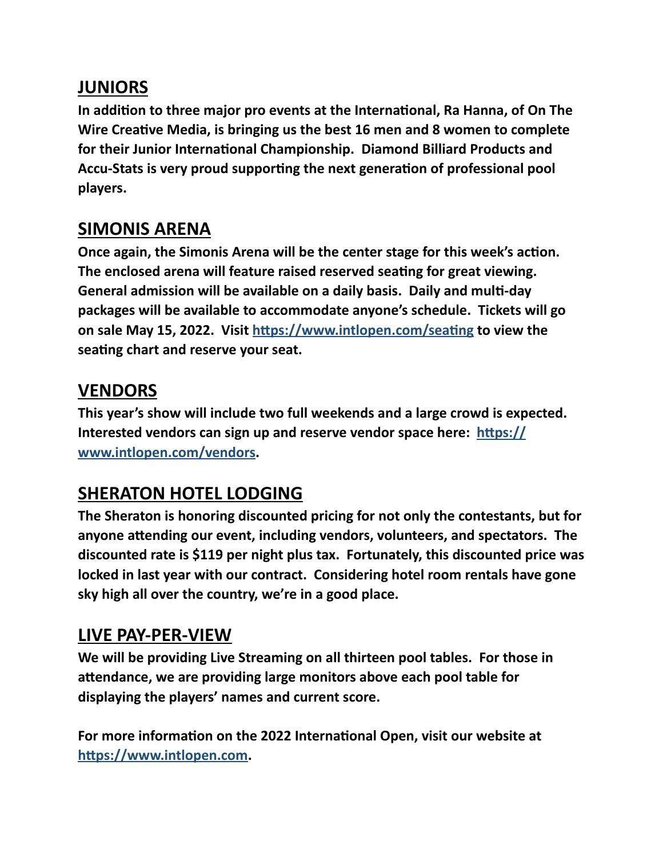## **JUNIORS**

**In addition to three major pro events at the International, Ra Hanna, of On The Wire Creative Media, is bringing us the best 16 men and 8 women to complete for their Junior International Championship. Diamond Billiard Products and Accu-Stats is very proud supporting the next generation of professional pool players.**

# **SIMONIS ARENA**

**Once again, the Simonis Arena will be the center stage for this week's action. The enclosed arena will feature raised reserved seating for great viewing. General admission will be available on a daily basis. Daily and multi-day packages will be available to accommodate anyone's schedule. Tickets will go on sale May 15, 2022. Visit<https://www.intlopen.com/seating>to view the seating chart and reserve your seat.**

# **VENDORS**

**This year's show will include two full weekends and a large crowd is expected. Interested vendors can sign up and reserve vendor space here: [https://](https://www.intlopen.com/vendors) [www.intlopen.com/vendors](https://www.intlopen.com/vendors).**

# **SHERATON HOTEL LODGING**

**The Sheraton is honoring discounted pricing for not only the contestants, but for anyone attending our event, including vendors, volunteers, and spectators. The discounted rate is \$119 per night plus tax. Fortunately, this discounted price was locked in last year with our contract. Considering hotel room rentals have gone sky high all over the country, we're in a good place.**

# **LIVE PAY-PER-VIEW**

**We will be providing Live Streaming on all thirteen pool tables. For those in attendance, we are providing large monitors above each pool table for displaying the players' names and current score.**

**For more information on the 2022 International Open, visit our website at <https://www.intlopen.com>.**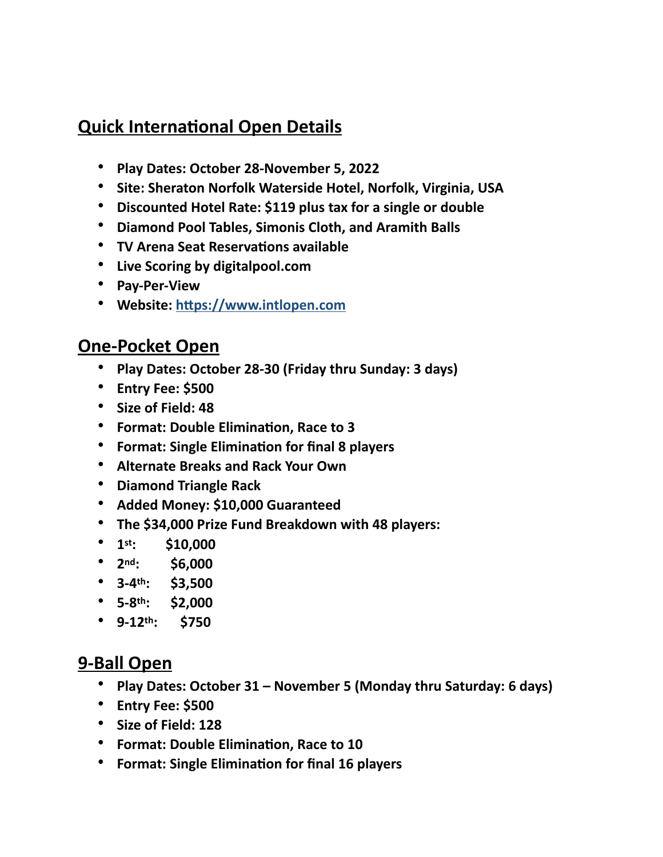# **Quick International Open Details**

- **Play Dates: October 28-November 5, 2022**
- **Site: Sheraton Norfolk Waterside Hotel, Norfolk, Virginia, USA**
- **Discounted Hotel Rate: \$119 plus tax for a single or double**
- **Diamond Pool Tables, Simonis Cloth, and Aramith Balls**
- **TV Arena Seat Reservations available**
- **Live Scoring by digitalpool.com**
- **Pay-Per-View**
- **Website:<https://www.intlopen.com>**

#### **One-Pocket Open**

- **Play Dates: October 28-30 (Friday thru Sunday: 3 days)**
- **Entry Fee: \$500**
- **Size of Field: 48**
- **Format: Double Elimination, Race to 3**
- **Format: Single Elimination for final 8 players**
- **Alternate Breaks and Rack Your Own**
- **Diamond Triangle Rack**
- **Added Money: \$10,000 Guaranteed**
- **The \$34,000 Prize Fund Breakdown with 48 players:**
- **1st: \$10,000**
- **2nd: \$6,000**
- **3-4th: \$3,500**
- **5-8th: \$2,000**
- **9-12th: \$750**

#### **9-Ball Open**

- **Play Dates: October 31 November 5 (Monday thru Saturday: 6 days)**
- **Entry Fee: \$500**
- **Size of Field: 128**
- **Format: Double Elimination, Race to 10**
- **Format: Single Elimination for final 16 players**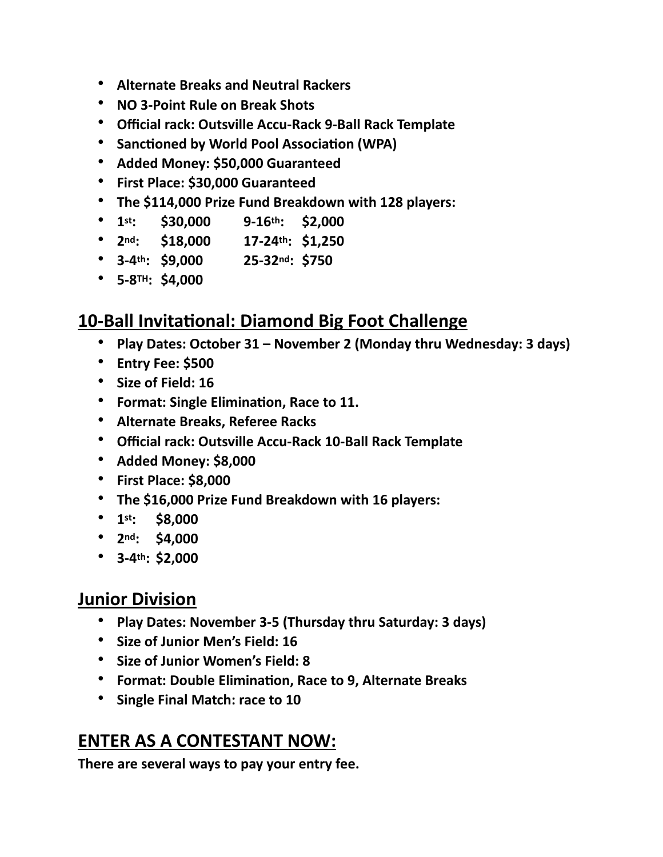- **Alternate Breaks and Neutral Rackers**
- **NO 3-Point Rule on Break Shots**
- **Official rack: Outsville Accu-Rack 9-Ball Rack Template**
- **Sanctioned by World Pool Association (WPA)**
- **Added Money: \$50,000 Guaranteed**
- **First Place: \$30,000 Guaranteed**
- **The \$114,000 Prize Fund Breakdown with 128 players:**
- **1st: \$30,000 9-16th: \$2,000**
- **2nd: \$18,000 17-24th: \$1,250**
- **3-4th: \$9,000 25-32nd: \$750**
- **5-8TH: \$4,000**

## **10-Ball Invitational: Diamond Big Foot Challenge**

- **Play Dates: October 31 November 2 (Monday thru Wednesday: 3 days)**
- **Entry Fee: \$500**
- **Size of Field: 16**
- **Format: Single Elimination, Race to 11.**
- **Alternate Breaks, Referee Racks**
- **Official rack: Outsville Accu-Rack 10-Ball Rack Template**
- **Added Money: \$8,000**
- **First Place: \$8,000**
- **The \$16,000 Prize Fund Breakdown with 16 players:**
- **1st: \$8,000**
- **2nd: \$4,000**
- **3-4th: \$2,000**

#### **Junior Division**

- **Play Dates: November 3-5 (Thursday thru Saturday: 3 days)**
- **Size of Junior Men's Field: 16**
- **Size of Junior Women's Field: 8**
- **Format: Double Elimination, Race to 9, Alternate Breaks**
- **Single Final Match: race to 10**

## **ENTER AS A CONTESTANT NOW:**

**There are several ways to pay your entry fee.**